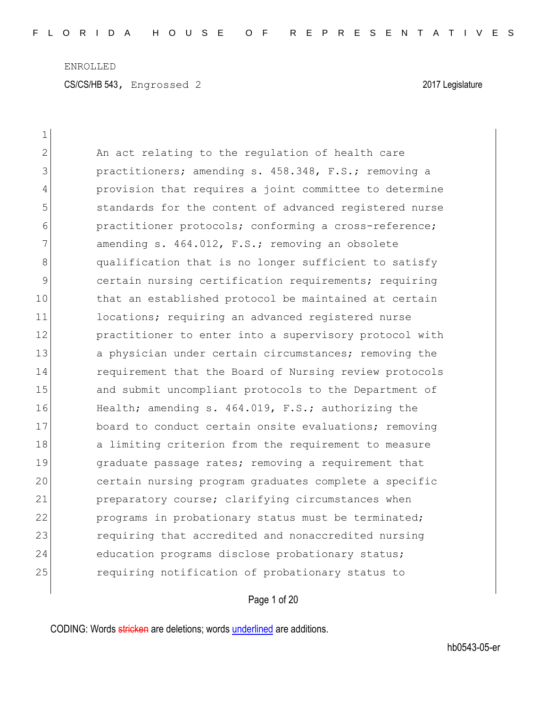| $\mathbf 1$   |                                                        |
|---------------|--------------------------------------------------------|
| 2             | An act relating to the regulation of health care       |
| 3             | practitioners; amending s. 458.348, F.S.; removing a   |
| 4             | provision that requires a joint committee to determine |
| 5             | standards for the content of advanced registered nurse |
| 6             | practitioner protocols; conforming a cross-reference;  |
| 7             | amending s. 464.012, F.S.; removing an obsolete        |
| 8             | qualification that is no longer sufficient to satisfy  |
| $\mathcal{G}$ | certain nursing certification requirements; requiring  |
| 10            | that an established protocol be maintained at certain  |
| 11            | locations; requiring an advanced registered nurse      |
| 12            | practitioner to enter into a supervisory protocol with |
| 13            | a physician under certain circumstances; removing the  |
| 14            | requirement that the Board of Nursing review protocols |
| 15            | and submit uncompliant protocols to the Department of  |
| 16            | Health; amending s. 464.019, F.S.; authorizing the     |
| 17            | board to conduct certain onsite evaluations; removing  |
| 18            | a limiting criterion from the requirement to measure   |
| 19            | graduate passage rates; removing a requirement that    |
| 20            | certain nursing program graduates complete a specific  |
| 21            | preparatory course; clarifying circumstances when      |
| 22            | programs in probationary status must be terminated;    |
| 23            | requiring that accredited and nonaccredited nursing    |
| 24            | education programs disclose probationary status;       |
| 25            | requiring notification of probationary status to       |

Page 1 of 20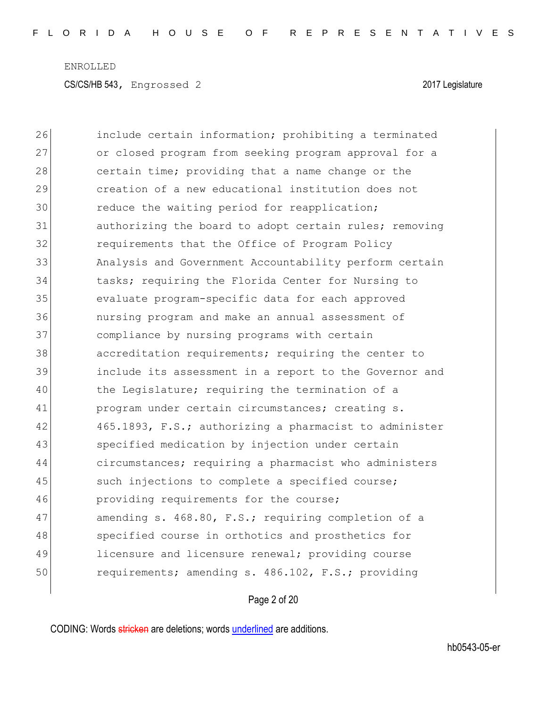26 include certain information; prohibiting a terminated 27 or closed program from seeking program approval for a 28 certain time; providing that a name change or the 29 creation of a new educational institution does not 30 reduce the waiting period for reapplication; 31 authorizing the board to adopt certain rules; removing 32 requirements that the Office of Program Policy 33 Analysis and Government Accountability perform certain 34 tasks; requiring the Florida Center for Nursing to 35 evaluate program-specific data for each approved 36 nursing program and make an annual assessment of 37 compliance by nursing programs with certain 38 accreditation requirements; requiring the center to 39 include its assessment in a report to the Governor and 40 the Legislature; requiring the termination of a 41 program under certain circumstances; creating s. 42 465.1893, F.S.; authorizing a pharmacist to administer 43 specified medication by injection under certain 44 circumstances; requiring a pharmacist who administers 45 such injections to complete a specified course; 46 **providing requirements for the course;** 47 amending s. 468.80, F.S.; requiring completion of a 48 specified course in orthotics and prosthetics for 49 licensure and licensure renewal; providing course 50 requirements; amending s. 486.102, F.S.; providing

Page 2 of 20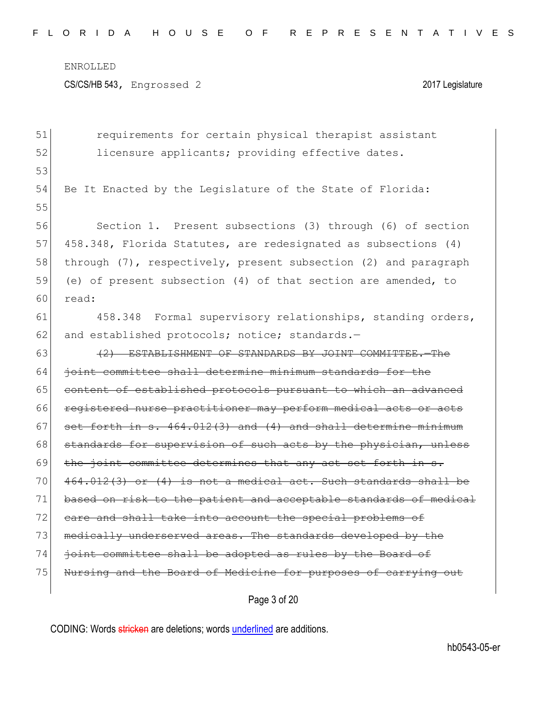CS/CS/HB 543, Engrossed 2 2017 Legislature

51 **requirements for certain physical therapist assistant** 52 licensure applicants; providing effective dates. 53 54 Be It Enacted by the Legislature of the State of Florida: 55 56 Section 1. Present subsections (3) through (6) of section 57 458.348, Florida Statutes, are redesignated as subsections (4) 58 through (7), respectively, present subsection (2) and paragraph 59 (e) of present subsection (4) of that section are amended, to 60 read: 61 458.348 Formal supervisory relationships, standing orders, 62 and established protocols; notice; standards.-63 (2) ESTABLISHMENT OF STANDARDS BY JOINT COMMITTEE. The 64 <del>joint committee shall determine minimum standards for the</del> 65 content of established protocols pursuant to which an advanced 66 registered nurse practitioner may perform medical acts or acts  $67$  set forth in s.  $464.012(3)$  and  $(4)$  and shall determine minimum  $68$  standards for supervision of such acts by the physician, unless 69 the joint committee determines that any act set forth in  $s$ .  $70^\circ$  464.012(3) or (4) is not a medical act. Such standards shall be 71 based on risk to the patient and acceptable standards of medical 72 care and shall take into account the special problems of 73 medically underserved areas. The standards developed by the 74 joint committee shall be adopted as rules by the Board of 75 Nursing and the Board of Medicine for purposes of carrying out

Page 3 of 20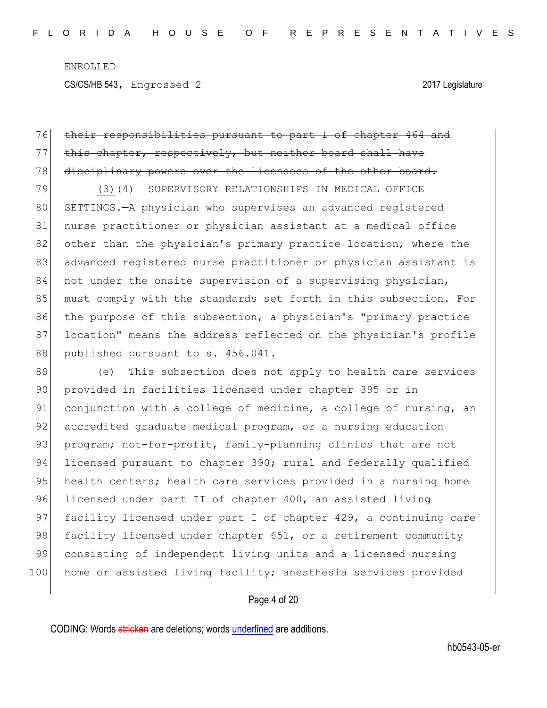CS/CS/HB 543, Engrossed 2 2017 Legislature

## 76 their responsibilities pursuant to part I of chapter 464 and 77 this chapter, respectively, but neither board shall have

78 disciplinary powers over the licensees of the other board.

79 (3)<del>(4)</del> SUPERVISORY RELATIONSHIPS IN MEDICAL OFFICE 80 SETTINGS.—A physician who supervises an advanced reqistered 81 nurse practitioner or physician assistant at a medical office 82 other than the physician's primary practice location, where the 83 advanced registered nurse practitioner or physician assistant is 84 not under the onsite supervision of a supervising physician, 85 must comply with the standards set forth in this subsection. For 86 the purpose of this subsection, a physician's "primary practice 87 location" means the address reflected on the physician's profile 88 published pursuant to s. 456.041.

89 (e) This subsection does not apply to health care services 90 provided in facilities licensed under chapter 395 or in 91 conjunction with a college of medicine, a college of nursing, an 92 accredited graduate medical program, or a nursing education 93 program; not-for-profit, family-planning clinics that are not 94 licensed pursuant to chapter 390; rural and federally qualified 95 health centers; health care services provided in a nursing home 96 licensed under part II of chapter 400, an assisted living 97 facility licensed under part I of chapter 429, a continuing care 98 facility licensed under chapter 651, or a retirement community 99 consisting of independent living units and a licensed nursing 100 home or assisted living facility; anesthesia services provided

### Page 4 of 20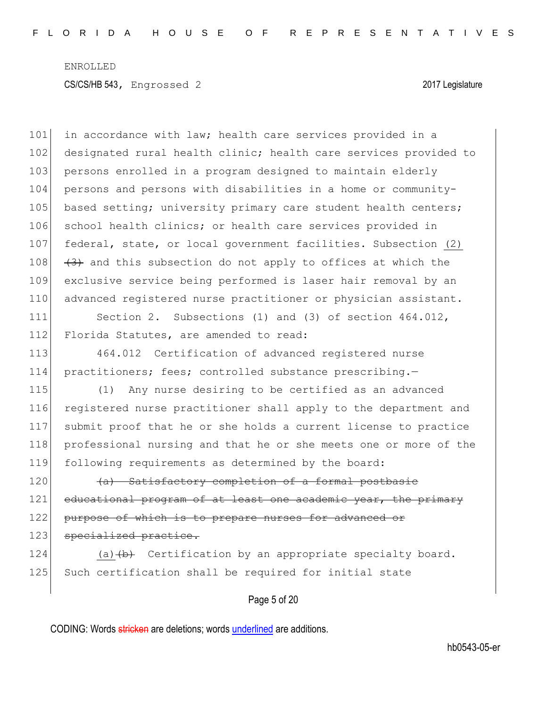101 in accordance with law; health care services provided in a 102 designated rural health clinic; health care services provided to 103 persons enrolled in a program designed to maintain elderly 104 persons and persons with disabilities in a home or community-105 based setting; university primary care student health centers; 106 school health clinics; or health care services provided in 107 federal, state, or local government facilities. Subsection (2) 108  $(3)$  and this subsection do not apply to offices at which the 109 exclusive service being performed is laser hair removal by an 110 advanced registered nurse practitioner or physician assistant.

111 Section 2. Subsections (1) and (3) of section 464.012, 112 Florida Statutes, are amended to read:

113 464.012 Certification of advanced registered nurse 114 practitioners; fees; controlled substance prescribing.-

 (1) Any nurse desiring to be certified as an advanced registered nurse practitioner shall apply to the department and submit proof that he or she holds a current license to practice professional nursing and that he or she meets one or more of the following requirements as determined by the board:

120 (a) Satisfactory completion of a formal postbasic 121 educational program of at least one academic year, the primary 122 purpose of which is to prepare nurses for advanced or 123 specialized practice.

124 (a) $\left(\frac{b}{b}\right)$  Certification by an appropriate specialty board. 125 Such certification shall be required for initial state

Page 5 of 20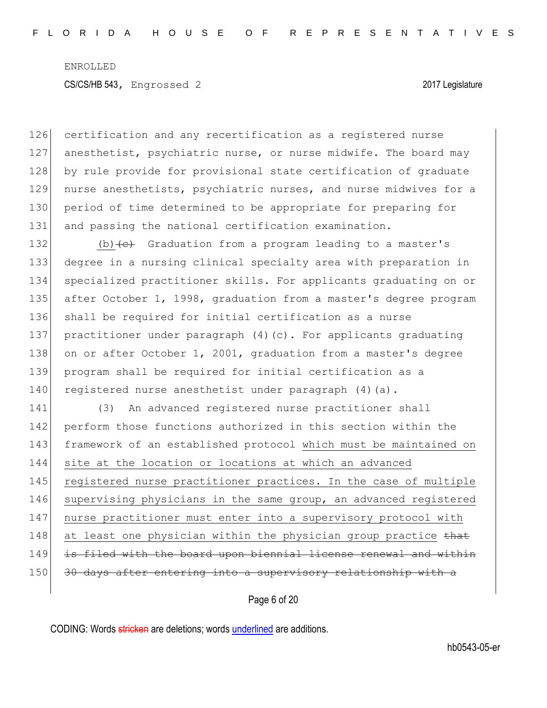126 certification and any recertification as a registered nurse 127 anesthetist, psychiatric nurse, or nurse midwife. The board may 128 by rule provide for provisional state certification of graduate 129 nurse anesthetists, psychiatric nurses, and nurse midwives for a 130 period of time determined to be appropriate for preparing for 131 and passing the national certification examination.

132 (b)  $\left\{ \frac{e}{c} \right\}$  Graduation from a program leading to a master's 133 degree in a nursing clinical specialty area with preparation in 134 specialized practitioner skills. For applicants graduating on or 135 after October 1, 1998, graduation from a master's degree program 136 shall be required for initial certification as a nurse 137 practitioner under paragraph (4)(c). For applicants graduating 138 on or after October 1, 2001, graduation from a master's degree 139 program shall be required for initial certification as a 140 registered nurse anesthetist under paragraph (4)(a).

141 (3) An advanced registered nurse practitioner shall 142 perform those functions authorized in this section within the 143 framework of an established protocol which must be maintained on 144 site at the location or locations at which an advanced 145 registered nurse practitioner practices. In the case of multiple 146 supervising physicians in the same group, an advanced registered 147 nurse practitioner must enter into a supervisory protocol with 148 at least one physician within the physician group practice that 149 is filed with the board upon biennial license renewal and within 150 30 days after entering into a supervisory relationship with a

Page 6 of 20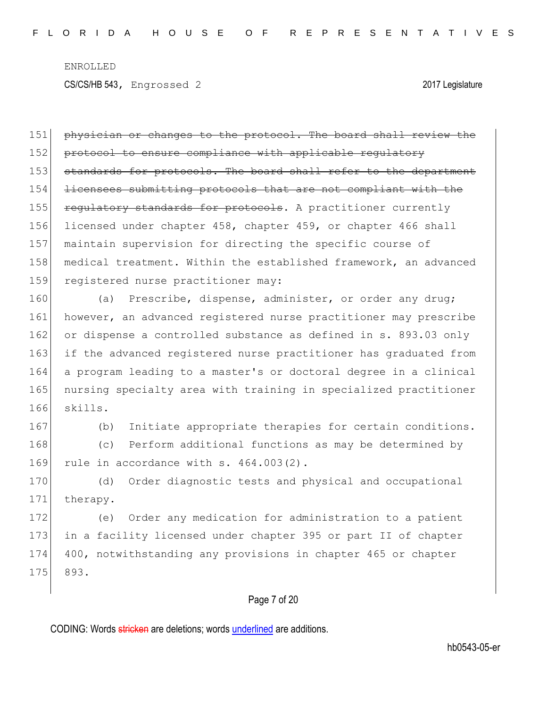151 physician or changes to the protocol. The board shall review the 152 protocol to ensure compliance with applicable regulatory 153 standards for protocols. The board shall refer to the department 154 licensees submitting protocols that are not compliant with the 155 regulatory standards for protocols. A practitioner currently 156 licensed under chapter 458, chapter 459, or chapter 466 shall 157 maintain supervision for directing the specific course of 158 medical treatment. Within the established framework, an advanced 159 registered nurse practitioner may:

160 (a) Prescribe, dispense, administer, or order any drug; 161 however, an advanced registered nurse practitioner may prescribe 162 or dispense a controlled substance as defined in s. 893.03 only 163 if the advanced registered nurse practitioner has graduated from 164 a program leading to a master's or doctoral degree in a clinical 165 nursing specialty area with training in specialized practitioner 166 skills.

167 (b) Initiate appropriate therapies for certain conditions.

168 (c) Perform additional functions as may be determined by 169 rule in accordance with  $s. 464.003(2)$ .

170 (d) Order diagnostic tests and physical and occupational 171 therapy.

172 (e) Order any medication for administration to a patient 173 in a facility licensed under chapter 395 or part II of chapter 174 400, notwithstanding any provisions in chapter 465 or chapter 175 893.

#### Page 7 of 20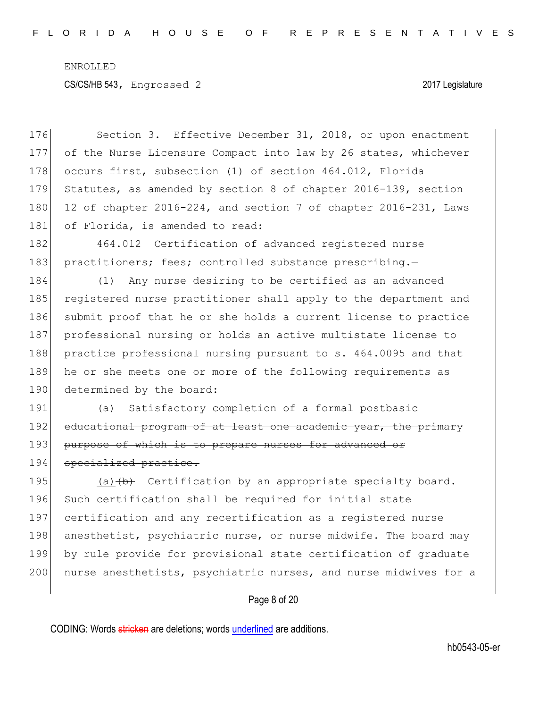CS/CS/HB 543, Engrossed 2 2017 Legislature

176 Section 3. Effective December 31, 2018, or upon enactment 177 of the Nurse Licensure Compact into law by 26 states, whichever 178 occurs first, subsection (1) of section 464.012, Florida 179 Statutes, as amended by section 8 of chapter 2016-139, section 180 12 of chapter 2016-224, and section 7 of chapter 2016-231, Laws 181 of Florida, is amended to read:

182 464.012 Certification of advanced registered nurse 183 practitioners; fees; controlled substance prescribing.-

184 (1) Any nurse desiring to be certified as an advanced 185 registered nurse practitioner shall apply to the department and 186 submit proof that he or she holds a current license to practice 187 professional nursing or holds an active multistate license to 188 practice professional nursing pursuant to s. 464.0095 and that 189 he or she meets one or more of the following requirements as 190 determined by the board:

191 (a) Satisfactory completion of a formal postbasic 192 educational program of at least one academic year, the primary 193 purpose of which is to prepare nurses for advanced or 194 specialized practice.

195 (a) $\left(\frac{b}{b}\right)$  Certification by an appropriate specialty board. 196 Such certification shall be required for initial state 197 certification and any recertification as a registered nurse 198 anesthetist, psychiatric nurse, or nurse midwife. The board may 199 by rule provide for provisional state certification of graduate 200 nurse anesthetists, psychiatric nurses, and nurse midwives for a

#### Page 8 of 20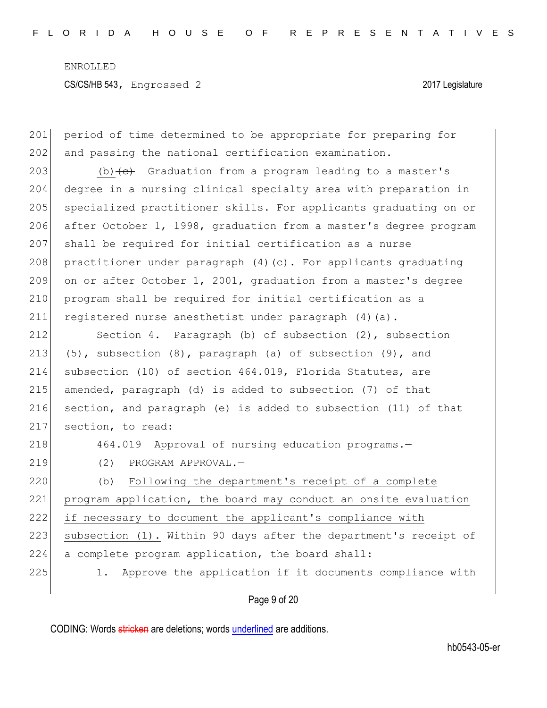201 period of time determined to be appropriate for preparing for 202 and passing the national certification examination.

203 (b)  $\left\{ \left. \right\{ \right. \right\}$  Graduation from a program leading to a master's 204 degree in a nursing clinical specialty area with preparation in 205 specialized practitioner skills. For applicants graduating on or 206 after October 1, 1998, graduation from a master's degree program 207 shall be required for initial certification as a nurse 208 practitioner under paragraph  $(4)$  (c). For applicants graduating 209 on or after October 1, 2001, graduation from a master's degree 210 program shall be required for initial certification as a 211 registered nurse anesthetist under paragraph (4) (a).

212 Section 4. Paragraph (b) of subsection (2), subsection 213 (5), subsection  $(8)$ , paragraph  $(a)$  of subsection  $(9)$ , and 214 subsection (10) of section 464.019, Florida Statutes, are 215 amended, paragraph (d) is added to subsection  $(7)$  of that 216 section, and paragraph (e) is added to subsection (11) of that 217 section, to read:

218 464.019 Approval of nursing education programs.

219 (2) PROGRAM APPROVAL.-

220 (b) Following the department's receipt of a complete 221 program application, the board may conduct an onsite evaluation 222 if necessary to document the applicant's compliance with 223 subsection (1). Within 90 days after the department's receipt of 224 a complete program application, the board shall: 225 1. Approve the application if it documents compliance with

Page 9 of 20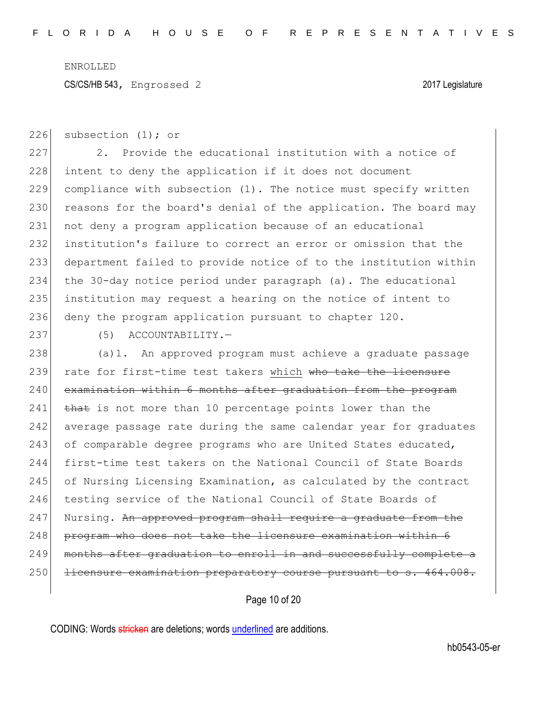CS/CS/HB 543, Engrossed 2 2017 Legislature

226 subsection (1); or

227 2. Provide the educational institution with a notice of 228 intent to deny the application if it does not document 229 compliance with subsection (1). The notice must specify written 230 reasons for the board's denial of the application. The board may 231 not deny a program application because of an educational 232 institution's failure to correct an error or omission that the 233 department failed to provide notice of to the institution within 234 the 30-day notice period under paragraph (a). The educational 235 institution may request a hearing on the notice of intent to 236 deny the program application pursuant to chapter 120.

237 (5) ACCOUNTABILITY.

238 (a)1. An approved program must achieve a graduate passage 239 rate for first-time test takers which who take the licensure 240 examination within 6 months after graduation from the program 241 that is not more than 10 percentage points lower than the 242 average passage rate during the same calendar year for graduates 243 of comparable degree programs who are United States educated, 244 first-time test takers on the National Council of State Boards 245 of Nursing Licensing Examination, as calculated by the contract 246 testing service of the National Council of State Boards of 247 Nursing. An approved program shall require a graduate from the 248 program who does not take the licensure examination within 6 249 months after graduation to enroll in and successfully complete a 250 <del>licensure examination preparatory course pursuant to s. 464.008.</del>

Page 10 of 20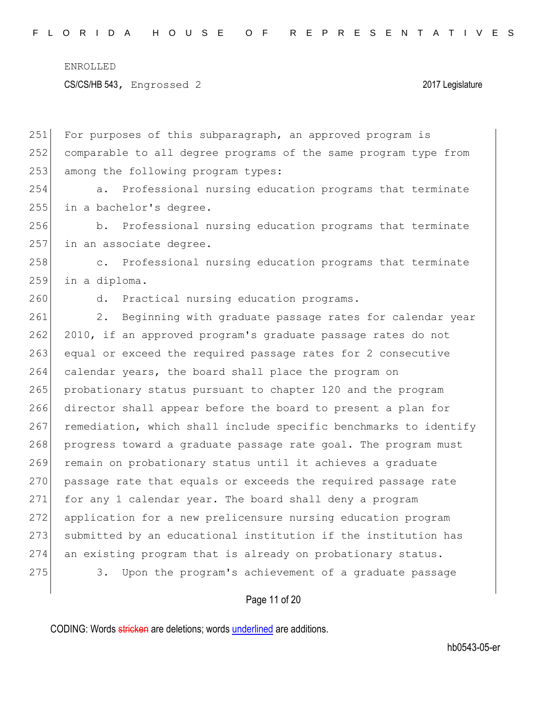CS/CS/HB 543, Engrossed 2 2017 Legislature

| 251 | For purposes of this subparagraph, an approved program is                |
|-----|--------------------------------------------------------------------------|
| 252 | comparable to all degree programs of the same program type from          |
| 253 | among the following program types:                                       |
| 254 | Professional nursing education programs that terminate<br>a.             |
| 255 | in a bachelor's degree.                                                  |
| 256 | Professional nursing education programs that terminate<br>b.             |
| 257 | in an associate degree.                                                  |
| 258 | Professional nursing education programs that terminate<br>$\mathsf{C}$ . |
| 259 | in a diploma.                                                            |
| 260 | Practical nursing education programs.<br>d.                              |
| 261 | $2$ .<br>Beginning with graduate passage rates for calendar year         |
| 262 | 2010, if an approved program's graduate passage rates do not             |
| 263 | equal or exceed the required passage rates for 2 consecutive             |
| 264 | calendar years, the board shall place the program on                     |
| 265 | probationary status pursuant to chapter 120 and the program              |
| 266 | director shall appear before the board to present a plan for             |
| 267 | remediation, which shall include specific benchmarks to identify         |
| 268 | progress toward a graduate passage rate goal. The program must           |
| 269 | remain on probationary status until it achieves a graduate               |
| 270 | passage rate that equals or exceeds the required passage rate            |
| 271 | for any 1 calendar year. The board shall deny a program                  |
| 272 | application for a new prelicensure nursing education program             |
| 273 | submitted by an educational institution if the institution has           |
| 274 | an existing program that is already on probationary status.              |
| 275 | Upon the program's achievement of a graduate passage<br>3.               |
|     |                                                                          |

# Page 11 of 20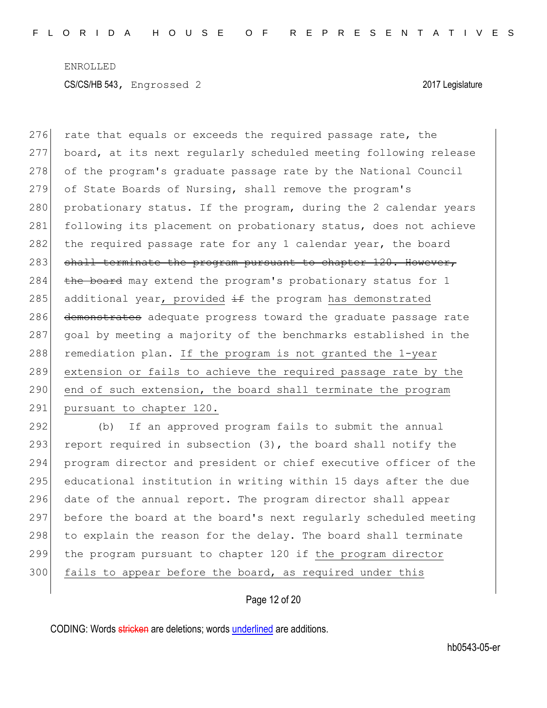276 rate that equals or exceeds the required passage rate, the 277 board, at its next regularly scheduled meeting following release 278 of the program's graduate passage rate by the National Council 279 of State Boards of Nursing, shall remove the program's 280 probationary status. If the program, during the 2 calendar years 281 following its placement on probationary status, does not achieve 282 the required passage rate for any 1 calendar year, the board  $283$  shall terminate the program pursuant to chapter 120. However, 284 the board may extend the program's probationary status for 1 285 additional year, provided  $\pm$ f the program has demonstrated 286 demonstrates adequate progress toward the graduate passage rate 287 goal by meeting a majority of the benchmarks established in the 288 remediation plan. If the program is not granted the  $1$ -year 289 extension or fails to achieve the required passage rate by the 290 end of such extension, the board shall terminate the program 291 pursuant to chapter 120.

 (b) If an approved program fails to submit the annual 293 report required in subsection  $(3)$ , the board shall notify the program director and president or chief executive officer of the educational institution in writing within 15 days after the due date of the annual report. The program director shall appear before the board at the board's next regularly scheduled meeting to explain the reason for the delay. The board shall terminate the program pursuant to chapter 120 if the program director 300 fails to appear before the board, as required under this

#### Page 12 of 20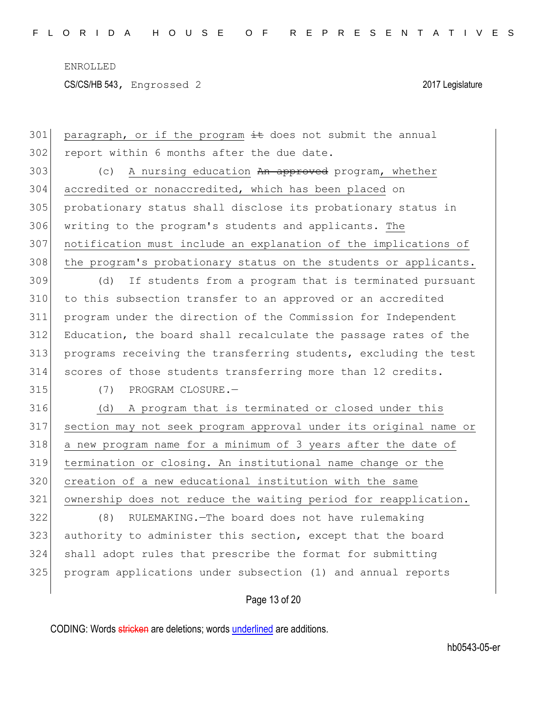CS/CS/HB 543, Engrossed 2 2017 Legislature

301 paragraph, or if the program  $\pm\epsilon$  does not submit the annual 302 report within 6 months after the due date. 303 (c) A nursing education An approved program, whether accredited or nonaccredited, which has been placed on probationary status shall disclose its probationary status in writing to the program's students and applicants. The notification must include an explanation of the implications of 308 the program's probationary status on the students or applicants. 309 (d) If students from a program that is terminated pursuant to this subsection transfer to an approved or an accredited program under the direction of the Commission for Independent Education, the board shall recalculate the passage rates of the programs receiving the transferring students, excluding the test scores of those students transferring more than 12 credits. (7) PROGRAM CLOSURE.— (d) A program that is terminated or closed under this section may not seek program approval under its original name or a new program name for a minimum of 3 years after the date of termination or closing. An institutional name change or the creation of a new educational institution with the same ownership does not reduce the waiting period for reapplication. (8) RULEMAKING.—The board does not have rulemaking 323 authority to administer this section, except that the board shall adopt rules that prescribe the format for submitting program applications under subsection (1) and annual reports

Page 13 of 20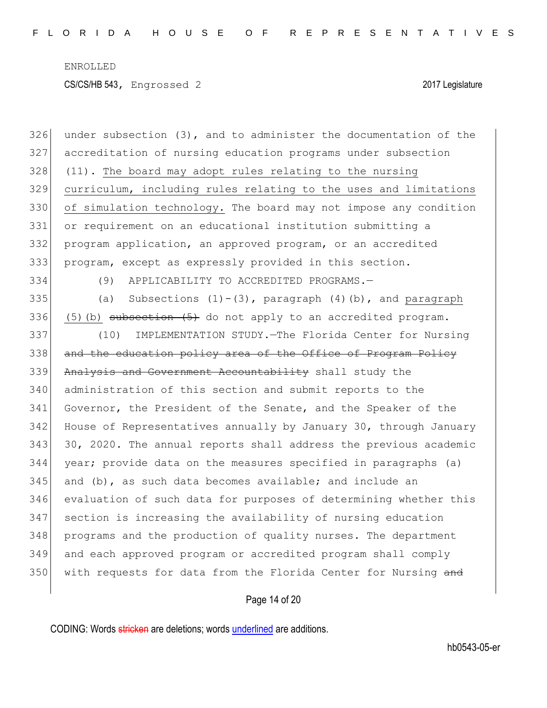under subsection (3), and to administer the documentation of the accreditation of nursing education programs under subsection (11). The board may adopt rules relating to the nursing curriculum, including rules relating to the uses and limitations of simulation technology. The board may not impose any condition or requirement on an educational institution submitting a program application, an approved program, or an accredited program, except as expressly provided in this section. (9) APPLICABILITY TO ACCREDITED PROGRAMS.— 335 (a) Subsections  $(1)-(3)$ , paragraph  $(4)$  (b), and paragraph 336 (5)(b) subsection  $(5)$  do not apply to an accredited program. (10) IMPLEMENTATION STUDY.—The Florida Center for Nursing 338 and the education policy area of the Office of Program Policy 339 Analysis and Government Accountability shall study the administration of this section and submit reports to the Governor, the President of the Senate, and the Speaker of the 342 House of Representatives annually by January 30, through January 30, 2020. The annual reports shall address the previous academic year; provide data on the measures specified in paragraphs (a) and (b), as such data becomes available; and include an evaluation of such data for purposes of determining whether this section is increasing the availability of nursing education programs and the production of quality nurses. The department and each approved program or accredited program shall comply 350 with requests for data from the Florida Center for Nursing and

### Page 14 of 20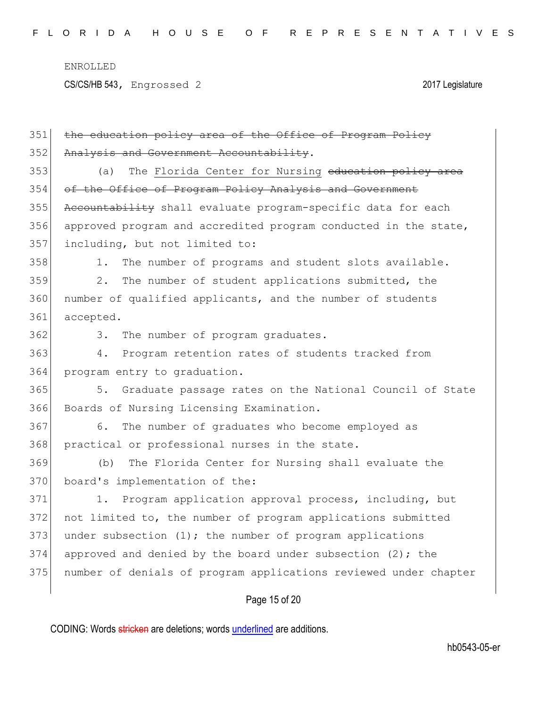CS/CS/HB 543, Engrossed 2 2017 Legislature

| 351 | the education policy area of the Office of Program Policy        |
|-----|------------------------------------------------------------------|
| 352 | Analysis and Government Accountability.                          |
| 353 | The Florida Center for Nursing education policy area<br>(a)      |
| 354 | of the Office of Program Policy Analysis and Government          |
| 355 | Accountability shall evaluate program-specific data for each     |
| 356 | approved program and accredited program conducted in the state,  |
| 357 | including, but not limited to:                                   |
| 358 | The number of programs and student slots available.<br>1.        |
| 359 | $2$ .<br>The number of student applications submitted, the       |
| 360 | number of qualified applicants, and the number of students       |
| 361 | accepted.                                                        |
| 362 | The number of program graduates.<br>3.                           |
| 363 | Program retention rates of students tracked from<br>4.           |
| 364 | program entry to graduation.                                     |
| 365 | Graduate passage rates on the National Council of State<br>5.    |
| 366 | Boards of Nursing Licensing Examination.                         |
| 367 | The number of graduates who become employed as<br>6.             |
| 368 | practical or professional nurses in the state.                   |
| 369 | The Florida Center for Nursing shall evaluate the<br>(b)         |
| 370 | board's implementation of the:                                   |
| 371 | 1. Program application approval process, including, but          |
| 372 | not limited to, the number of program applications submitted     |
| 373 | under subsection $(1)$ ; the number of program applications      |
| 374 | approved and denied by the board under subsection $(2)$ ; the    |
| 375 | number of denials of program applications reviewed under chapter |
|     |                                                                  |

Page 15 of 20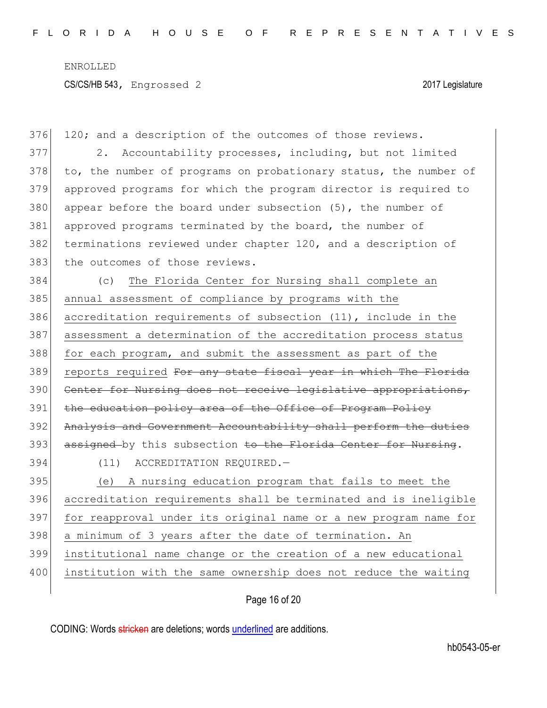376 120; and a description of the outcomes of those reviews. 377 2. Accountability processes, including, but not limited 378 to, the number of programs on probationary status, the number of 379 approved programs for which the program director is required to 380 appear before the board under subsection  $(5)$ , the number of 381 approved programs terminated by the board, the number of 382 terminations reviewed under chapter 120, and a description of 383 the outcomes of those reviews. 384 (c) The Florida Center for Nursing shall complete an 385 annual assessment of compliance by programs with the 386 accreditation requirements of subsection (11), include in the 387 assessment a determination of the accreditation process status 388 for each program, and submit the assessment as part of the 389 reports required For any state fiscal year in which The Florida 390 Center for Nursing does not receive legislative appropriations, 391 the education policy area of the Office of Program Policy 392 Analysis and Government Accountability shall perform the duties 393 assigned by this subsection to the Florida Center for Nursing. 394 (11) ACCREDITATION REQUIRED.— 395 (e) A nursing education program that fails to meet the 396 accreditation requirements shall be terminated and is ineligible 397 for reapproval under its original name or a new program name for 398 a minimum of 3 years after the date of termination. An 399 institutional name change or the creation of a new educational 400 institution with the same ownership does not reduce the waiting

Page 16 of 20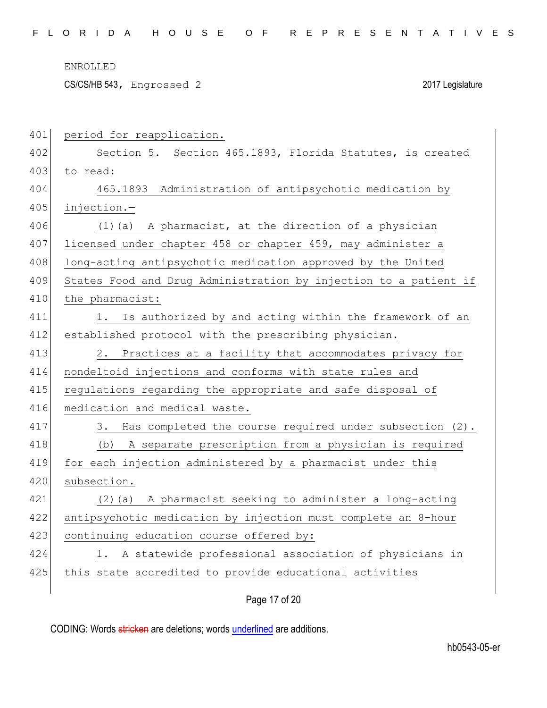CS/CS/HB 543, Engrossed 2 2017 Legislature

| 401 | period for reapplication.                                        |
|-----|------------------------------------------------------------------|
| 402 | Section 5. Section 465.1893, Florida Statutes, is created        |
| 403 | to read:                                                         |
| 404 | 465.1893 Administration of antipsychotic medication by           |
| 405 | injection.-                                                      |
| 406 | (1) (a) A pharmacist, at the direction of a physician            |
| 407 | licensed under chapter 458 or chapter 459, may administer a      |
| 408 | long-acting antipsychotic medication approved by the United      |
| 409 | States Food and Drug Administration by injection to a patient if |
| 410 | the pharmacist:                                                  |
| 411 | 1. Is authorized by and acting within the framework of an        |
| 412 | established protocol with the prescribing physician.             |
| 413 | Practices at a facility that accommodates privacy for<br>2.      |
| 414 | nondeltoid injections and conforms with state rules and          |
| 415 | regulations regarding the appropriate and safe disposal of       |
| 416 | medication and medical waste.                                    |
| 417 | 3. Has completed the course required under subsection (2).       |
| 418 | A separate prescription from a physician is required<br>(b)      |
| 419 | for each injection administered by a pharmacist under this       |
| 420 | subsection.                                                      |
| 421 | (2) (a) A pharmacist seeking to administer a long-acting         |
| 422 | antipsychotic medication by injection must complete an 8-hour    |
| 423 | continuing education course offered by:                          |
| 424 | A statewide professional association of physicians in<br>1.      |
| 425 | this state accredited to provide educational activities          |
|     |                                                                  |

# Page 17 of 20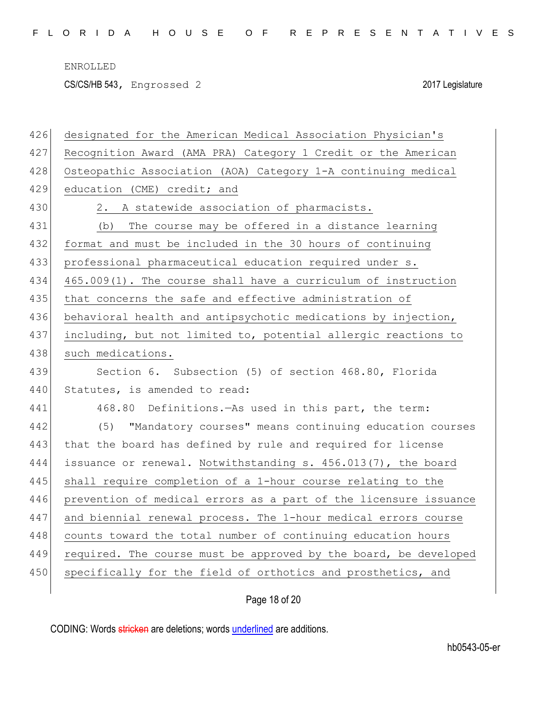CS/CS/HB 543, Engrossed 2 2017 Legislature

| 426 | designated for the American Medical Association Physician's      |
|-----|------------------------------------------------------------------|
| 427 | Recognition Award (AMA PRA) Category 1 Credit or the American    |
| 428 | Osteopathic Association (AOA) Category 1-A continuing medical    |
| 429 | education (CME) credit; and                                      |
| 430 | 2. A statewide association of pharmacists.                       |
| 431 | The course may be offered in a distance learning<br>(b)          |
| 432 | format and must be included in the 30 hours of continuing        |
| 433 | professional pharmaceutical education required under s.          |
| 434 | 465.009(1). The course shall have a curriculum of instruction    |
| 435 | that concerns the safe and effective administration of           |
| 436 | behavioral health and antipsychotic medications by injection,    |
| 437 | including, but not limited to, potential allergic reactions to   |
| 438 | such medications.                                                |
| 439 | Section 6. Subsection (5) of section 468.80, Florida             |
| 440 | Statutes, is amended to read:                                    |
| 441 | 468.80 Definitions. - As used in this part, the term:            |
| 442 | (5) "Mandatory courses" means continuing education courses       |
| 443 | that the board has defined by rule and required for license      |
| 444 | issuance or renewal. Notwithstanding s. 456.013(7), the board    |
| 445 | shall require completion of a 1-hour course relating to the      |
| 446 | prevention of medical errors as a part of the licensure issuance |
| 447 | and biennial renewal process. The 1-hour medical errors course   |
| 448 | counts toward the total number of continuing education hours     |
| 449 | required. The course must be approved by the board, be developed |
| 450 | specifically for the field of orthotics and prosthetics, and     |
|     |                                                                  |

# Page 18 of 20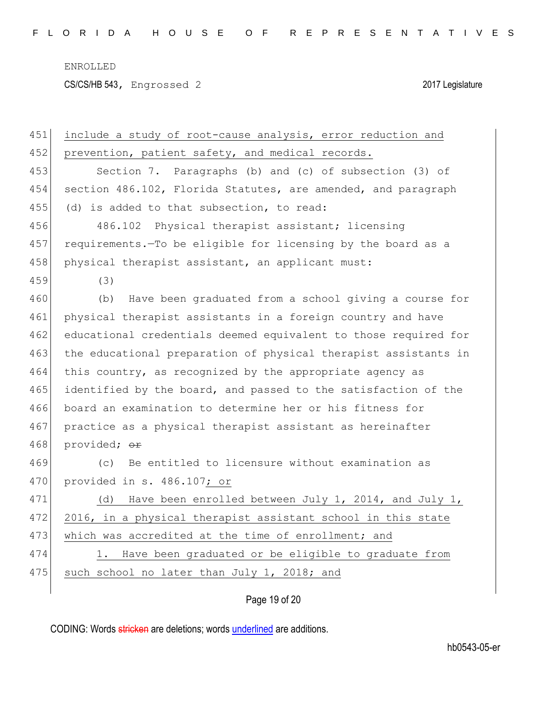CS/CS/HB 543, Engrossed 2 2017 Legislature

| 451 | include a study of root-cause analysis, error reduction and     |
|-----|-----------------------------------------------------------------|
| 452 | prevention, patient safety, and medical records.                |
| 453 | Section 7. Paragraphs (b) and (c) of subsection (3) of          |
| 454 | section 486.102, Florida Statutes, are amended, and paragraph   |
| 455 | (d) is added to that subsection, to read:                       |
| 456 | 486.102 Physical therapist assistant; licensing                 |
| 457 | requirements. To be eligible for licensing by the board as a    |
| 458 | physical therapist assistant, an applicant must:                |
| 459 | (3)                                                             |
| 460 | Have been graduated from a school giving a course for<br>(b)    |
| 461 | physical therapist assistants in a foreign country and have     |
| 462 | educational credentials deemed equivalent to those required for |
| 463 | the educational preparation of physical therapist assistants in |
| 464 | this country, as recognized by the appropriate agency as        |
| 465 | identified by the board, and passed to the satisfaction of the  |
| 466 | board an examination to determine her or his fitness for        |
| 467 | practice as a physical therapist assistant as hereinafter       |
| 468 | provided; or                                                    |
| 469 | Be entitled to licensure without examination as<br>(C)          |
| 470 | provided in s. 486.107; or                                      |
| 471 | Have been enrolled between July 1, 2014, and July 1,<br>(d)     |
| 472 | 2016, in a physical therapist assistant school in this state    |
| 473 | which was accredited at the time of enrollment; and             |
| 474 | Have been graduated or be eligible to graduate from<br>1.       |
| 475 | such school no later than July 1, 2018; and                     |
|     |                                                                 |

Page 19 of 20